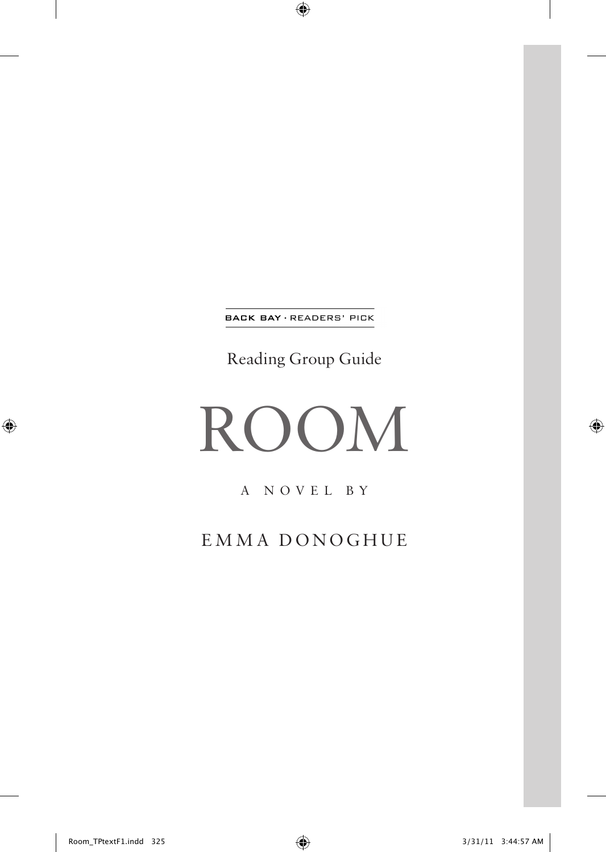**BACK BAY · READERS' PICK** 

Reading Group Guide

# ROOM

#### A NO V E L B Y

## EMMA DONOGHUE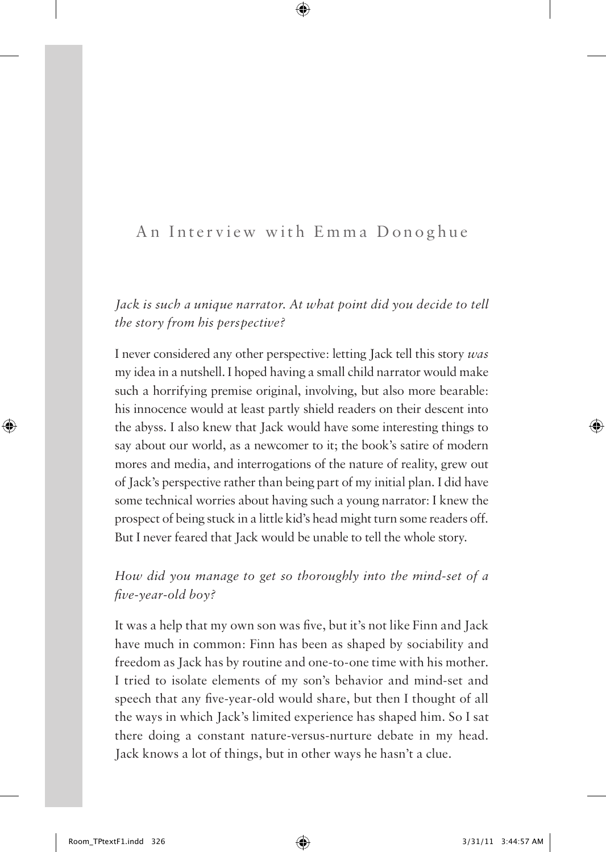## An Interview with Emma Donoghue

### *Jack is such a unique narrator. At what point did you decide to tell the story from his perspective?*

I never considered any other perspective: letting Jack tell this story *was* my idea in a nutshell. I hoped having a small child narrator would make such a horrifying premise original, involving, but also more bearable: his innocence would at least partly shield readers on their descent into the abyss. I also knew that Jack would have some interesting things to say about our world, as a newcomer to it; the book's satire of modern mores and media, and interrogations of the nature of reality, grew out of Jack's perspective rather than being part of my initial plan. I did have some technical worries about having such a young narrator: I knew the prospect of being stuck in a little kid's head might turn some readers off. But I never feared that Jack would be unable to tell the whole story.

### *How did you manage to get so thoroughly into the mind-set of a five-year-old boy?*

It was a help that my own son was five, but it's not like Finn and Jack have much in common: Finn has been as shaped by sociability and freedom as Jack has by routine and one-to-one time with his mother. I tried to isolate elements of my son's behavior and mind-set and speech that any five-year-old would share, but then I thought of all the ways in which Jack's limited experience has shaped him. So I sat there doing a constant nature-versus-nurture debate in my head. Jack knows a lot of things, but in other ways he hasn't a clue.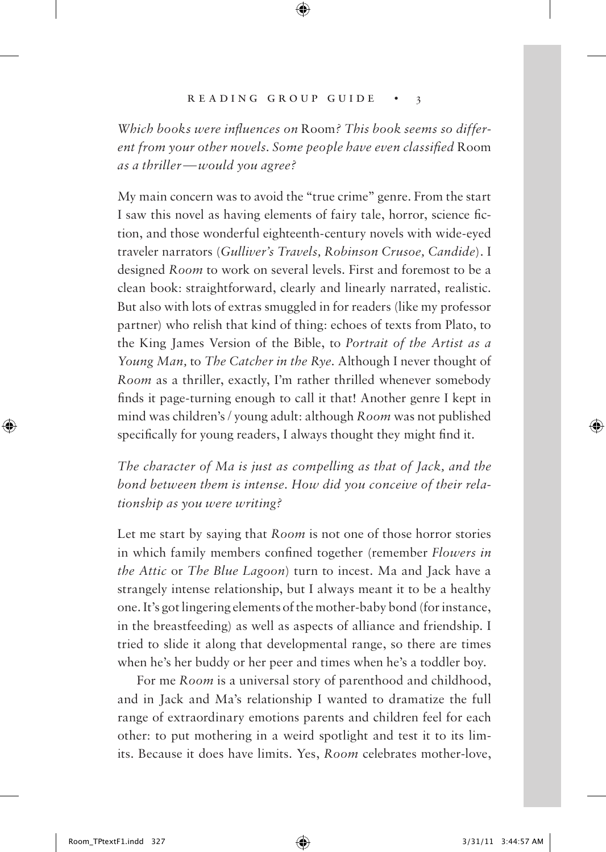#### READING GROUP GUIDE . 3

*Which books were influences on* Room*? This book seems so different from your other novels. Some people have even classified* Room *as a thriller— would you agree?*

My main concern was to avoid the "true crime" genre. From the start I saw this novel as having elements of fairy tale, horror, science fiction, and those wonderful eighteenth-century novels with wide-eyed traveler narrators (*Gulliver's Travels, Robinson Crusoe, Candide*). I designed *Room* to work on several levels. First and foremost to be a clean book: straightforward, clearly and linearly narrated, realistic. But also with lots of extras smuggled in for readers (like my professor partner) who relish that kind of thing: echoes of texts from Plato, to the King James Version of the Bible, to *Portrait of the Artist as a Young Man,* to *The Catcher in the Rye*. Although I never thought of *Room* as a thriller, exactly, I'm rather thrilled whenever somebody finds it page-turning enough to call it that! Another genre I kept in mind was children's / young adult: although *Room* was not published specifically for young readers, I always thought they might find it.

*The character of Ma is just as compelling as that of Jack, and the bond between them is intense. How did you conceive of their relationship as you were writing?*

Let me start by saying that *Room* is not one of those horror stories in which family members confined together (remember *Flowers in the Attic* or *The Blue Lagoon*) turn to incest. Ma and Jack have a strangely intense relationship, but I always meant it to be a healthy one. It's got lingering elements ofthe mother-baby bond (forinstance, in the breastfeeding) as well as aspects of alliance and friendship. I tried to slide it along that developmental range, so there are times when he's her buddy or her peer and times when he's a toddler boy.

For me *Room* is a universal story of parenthood and childhood, and in Jack and Ma's relationship I wanted to dramatize the full range of extraordinary emotions parents and children feel for each other: to put mothering in a weird spotlight and test it to its limits. Because it does have limits. Yes, *Room* celebrates mother-love,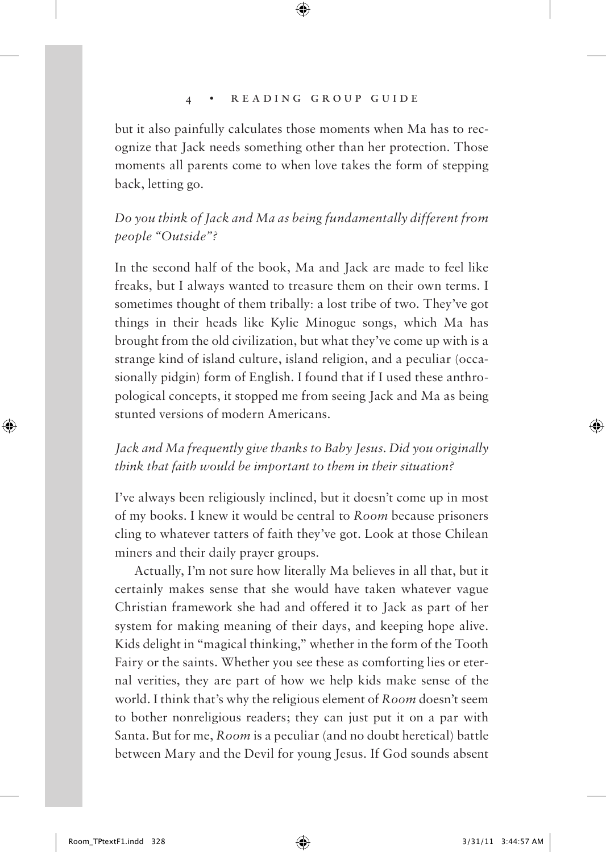but it also painfully calculates those moments when Ma has to recognize that Jack needs something other than her protection. Those moments all parents come to when love takes the form of stepping back, letting go.

#### *Do you think of Jack and Ma as being fundamentally different from people "Outside"?*

In the second half of the book, Ma and Jack are made to feel like freaks, but I always wanted to treasure them on their own terms. I sometimes thought of them tribally: a lost tribe of two. They've got things in their heads like Kylie Minogue songs, which Ma has brought from the old civilization, but what they've come up with is a strange kind of island culture, island religion, and a peculiar (occasionally pidgin) form of English. I found that if I used these anthropological concepts, it stopped me from seeing Jack and Ma as being stunted versions of modern Americans.

#### *Jack and Ma frequently give thanks to Baby Jesus. Did you originally think that faith would be important to them in their situation?*

I've always been religiously inclined, but it doesn't come up in most of my books. I knew it would be central to *Room* because prisoners cling to whatever tatters of faith they've got. Look at those Chilean miners and their daily prayer groups.

Actually, I'm not sure how literally Ma believes in all that, but it certainly makes sense that she would have taken whatever vague Christian framework she had and offered it to Jack as part of her system for making meaning of their days, and keeping hope alive. Kids delight in "magical thinking," whether in the form of the Tooth Fairy or the saints. Whether you see these as comforting lies or eternal verities, they are part of how we help kids make sense of the world. I think that's why the religious element of *Room* doesn't seem to bother nonreligious readers; they can just put it on a par with Santa. But for me, *Room* is a peculiar (and no doubt heretical) battle between Mary and the Devil for young Jesus. If God sounds absent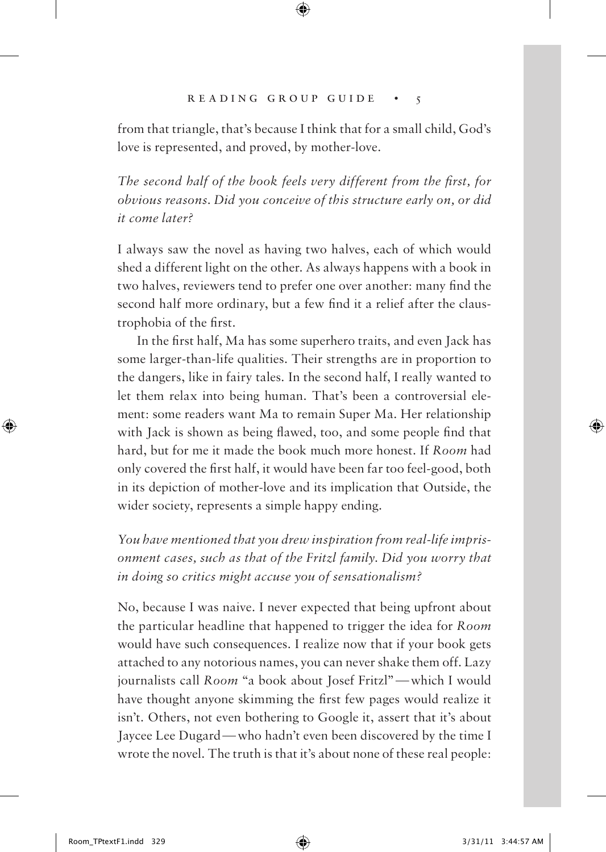from that triangle, that's because I think that for a small child, God's love is represented, and proved, by mother-love.

*The second half of the book feels very different from the first, for obvious reasons. Did you conceive of this structure early on, or did it come later?*

I always saw the novel as having two halves, each of which would shed a different light on the other. As always happens with a book in two halves, reviewers tend to prefer one over another: many find the second half more ordinary, but a few find it a relief after the claustrophobia of the first.

In the first half, Ma has some superhero traits, and even Jack has some larger-than-life qualities. Their strengths are in proportion to the dangers, like in fairy tales. In the second half, I really wanted to let them relax into being human. That's been a controversial element: some readers want Ma to remain Super Ma. Her relationship with Jack is shown as being flawed, too, and some people find that hard, but for me it made the book much more honest. If *Room* had only covered the first half, it would have been far too feel-good, both in its depiction of mother-love and its implication that Outside, the wider society, represents a simple happy ending.

*You have mentioned that you drew inspiration from real-life imprisonment cases, such as that of the Fritzl family. Did you worry that in doing so critics might accuse you of sensationalism?* 

No, because I was naive. I never expected that being upfront about the particular headline that happened to trigger the idea for *Room* would have such consequences. I realize now that if your book gets attached to any notorious names, you can never shake them off. Lazy journalists call *Room* "a book about Josef Fritzl" — which I would have thought anyone skimming the first few pages would realize it isn't. Others, not even bothering to Google it, assert that it's about Jaycee Lee Dugard— who hadn't even been discovered by the time I wrote the novel. The truth is that it's about none of these real people: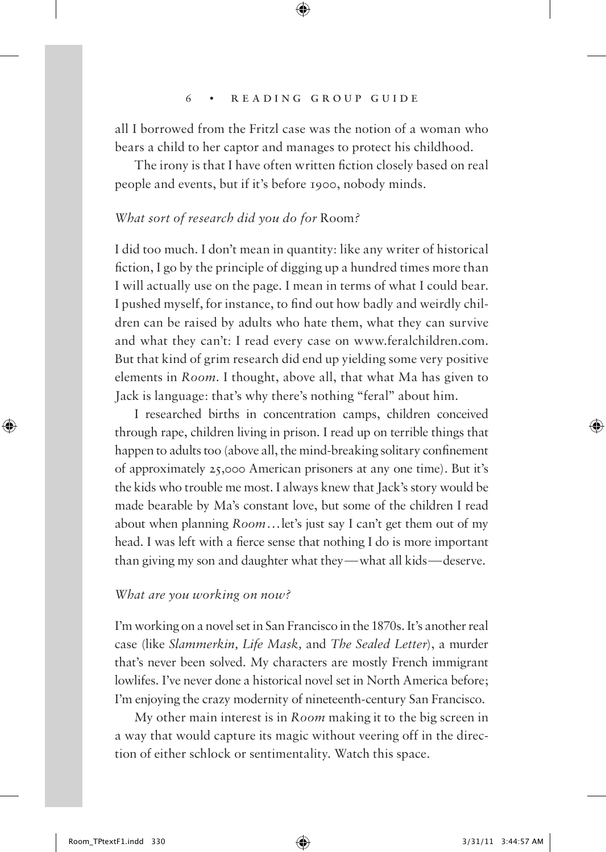all I borrowed from the Fritzl case was the notion of a woman who bears a child to her captor and manages to protect his childhood.

The irony is that I have often written fiction closely based on real people and events, but if it's before 1900, nobody minds.

#### *What sort of research did you do for* Room*?*

I did too much. I don't mean in quantity: like any writer of historical fiction, I go by the principle of digging up a hundred times more than I will actually use on the page. I mean in terms of what I could bear. I pushed myself, for instance, to find out how badly and weirdly children can be raised by adults who hate them, what they can survive and what they can't: I read every case on www.feralchildren.com. But that kind of grim research did end up yielding some very positive elements in *Room*. I thought, above all, that what Ma has given to Jack is language: that's why there's nothing "feral" about him.

I researched births in concentration camps, children conceived through rape, children living in prison. I read up on terrible things that happen to adults too (above all, the mind-breaking solitary confinement of approximately 25,000 American prisoners at any one time). But it's the kids who trouble me most. I always knew that Jack's story would be made bearable by Ma's constant love, but some of the children I read about when planning *Room*. . . let's just say I can't get them out of my head. I was left with a fierce sense that nothing I do is more important than giving my son and daughter what they — what all kids — deserve.

#### *What are you working on now?*

I'm working on a novel set in San Francisco in the 1870s. It's another real case (like *Slammerkin, Life Mask,* and *The Sealed Letter*), a murder that's never been solved. My characters are mostly French immigrant lowlifes. I've never done a historical novel set in North America before; I'm enjoying the crazy modernity of nineteenth-century San Francisco.

My other main interest is in *Room* making it to the big screen in a way that would capture its magic without veering off in the direction of either schlock or sentimentality. Watch this space.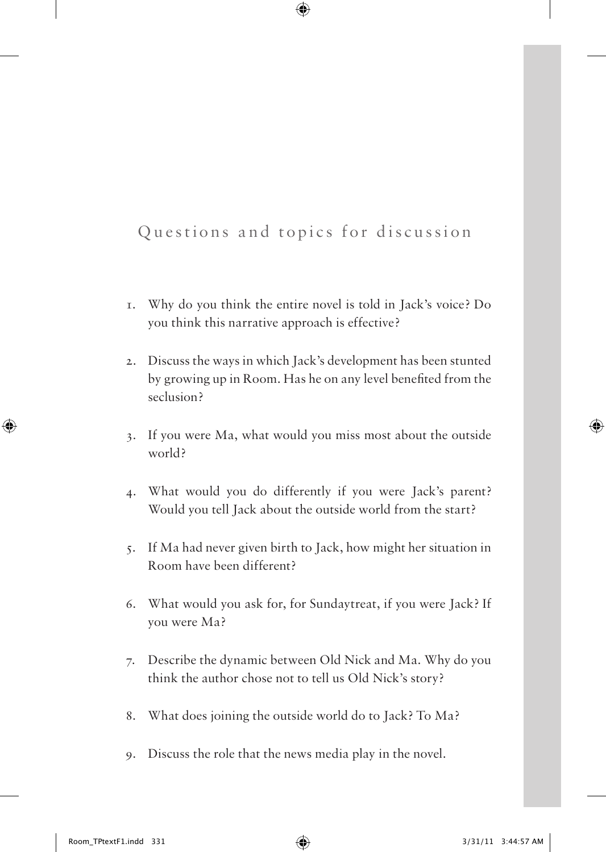## Questions and topics for discussion

- 1. Why do you think the entire novel is told in Jack's voice? Do you think this narrative approach is effective?
- 2. Discuss the ways in which Jack's development has been stunted by growing up in Room. Has he on any level benefited from the seclusion?
- 3. If you were Ma, what would you miss most about the outside world?
- 4. What would you do differently if you were Jack's parent? Would you tell Jack about the outside world from the start?
- 5. If Ma had never given birth to Jack, how might her situation in Room have been different?
- 6. What would you ask for, for Sundaytreat, if you were Jack? If you were Ma?
- 7. Describe the dynamic between Old Nick and Ma. Why do you think the author chose not to tell us Old Nick's story?
- 8. What does joining the outside world do to Jack? To Ma?
- 9. Discuss the role that the news media play in the novel.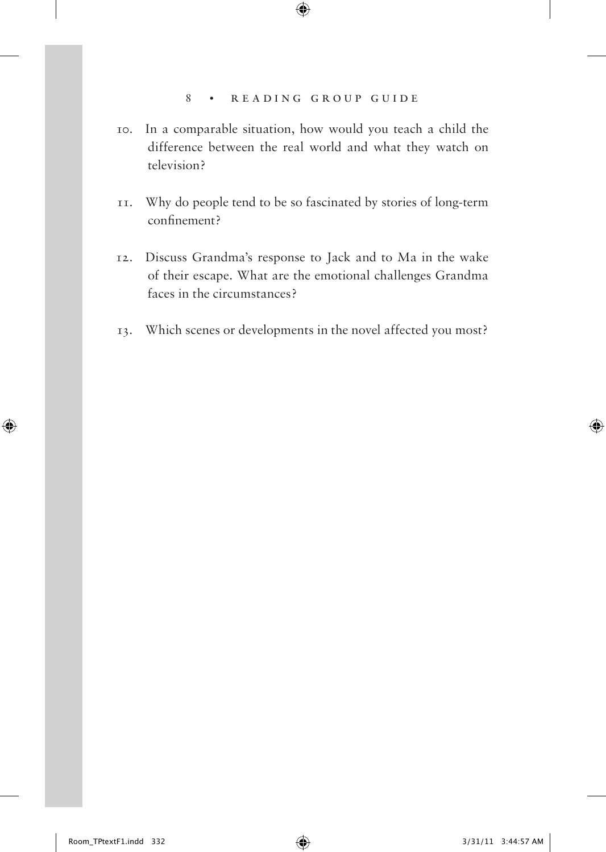8 • READING GROUP GUIDE

- 10. In a comparable situation, how would you teach a child the difference between the real world and what they watch on television?
- 11. Why do people tend to be so fascinated by stories of long-term confinement?
- 12. Discuss Grandma's response to Jack and to Ma in the wake of their escape. What are the emotional challenges Grandma faces in the circumstances?
- 13. Which scenes or developments in the novel affected you most?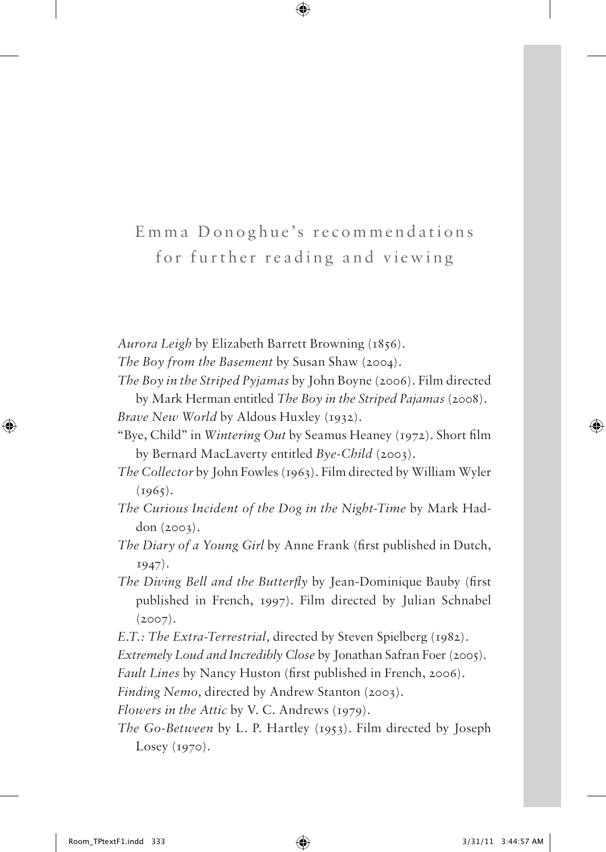# Emma Donoghue's recommendations for further reading and viewing

*Aurora Leigh* by Elizabeth Barrett Browning (1856).

*The Boy from the Basement* by Susan Shaw (2004).

*The Boy in the Striped Pyjamas* by John Boyne (2006). Film directed by Mark Herman entitled *The Boy in the Striped Pajamas* (2008).

*Brave New World* by Aldous Huxley (1932).

- "Bye, Child" in *Wintering Out* by Seamus Heaney (1972). Short film by Bernard MacLaverty entitled *Bye-Child* (2003).
- *The Collector* by John Fowles (1963). Film directed by William Wyler  $(1965).$
- *The Curious Incident of the Dog in the Night-Time* by Mark Haddon (2003).
- *The Diary of a Young Girl* by Anne Frank (first published in Dutch, 1947).
- *The Diving Bell and the Butterfly* by Jean-Dominique Bauby (first published in French, 1997). Film directed by Julian Schnabel  $(2007)$ .
- *E.T.: The Extra-Terrestrial,* directed by Steven Spielberg (1982).

*Extremely Loud and Incredibly Close* by Jonathan Safran Foer (2005).

*Fault Lines* by Nancy Huston (first published in French, 2006).

*Finding Nemo,* directed by Andrew Stanton (2003).

*Flowers in the Attic* by V. C. Andrews (1979).

*The Go-Between* by L. P. Hartley (1953). Film directed by Joseph Losey  $(1970)$ .